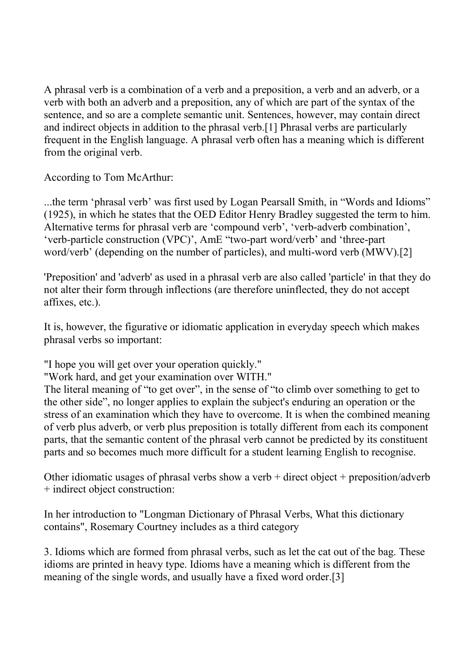A phrasal verb is a combination of a verb and a preposition, a verb and an adverb, or a verb with both an adverb and a preposition, any of which are part of the syntax of the sentence, and so are a complete semantic unit. Sentences, however, may contain direct and indirect objects in addition to the phrasal verb.[1] Phrasal verbs are particularly frequent in the English language. A phrasal verb often has a meaning which is different from the original verb.

According to Tom McArthur:

...the term 'phrasal verb' was first used by Logan Pearsall Smith, in "Words and Idioms" (1925), in which he states that the OED Editor Henry Bradley suggested the term to him. Alternative terms for phrasal verb are 'compound verb', 'verb-adverb combination', 'verb-particle construction (VPC)', AmE "two-part word/verb' and 'three-part word/verb' (depending on the number of particles), and multi-word verb (MWV).[2]

'Preposition' and 'adverb' as used in a phrasal verb are also called 'particle' in that they do not alter their form through inflections (are therefore uninflected, they do not accept affixes, etc.).

It is, however, the figurative or idiomatic application in everyday speech which makes phrasal verbs so important:

"I hope you will get over your operation quickly."

"Work hard, and get your examination over WITH."

The literal meaning of "to get over", in the sense of "to climb over something to get to the other side", no longer applies to explain the subject's enduring an operation or the stress of an examination which they have to overcome. It is when the combined meaning of verb plus adverb, or verb plus preposition is totally different from each its component parts, that the semantic content of the phrasal verb cannot be predicted by its constituent parts and so becomes much more difficult for a student learning English to recognise.

Other idiomatic usages of phrasal verbs show a verb  $+$  direct object  $+$  preposition/adverb + indirect object construction:

In her introduction to "Longman Dictionary of Phrasal Verbs, What this dictionary contains", Rosemary Courtney includes as a third category

3. Idioms which are formed from phrasal verbs, such as let the cat out of the bag. These idioms are printed in heavy type. Idioms have a meaning which is different from the meaning of the single words, and usually have a fixed word order.[3]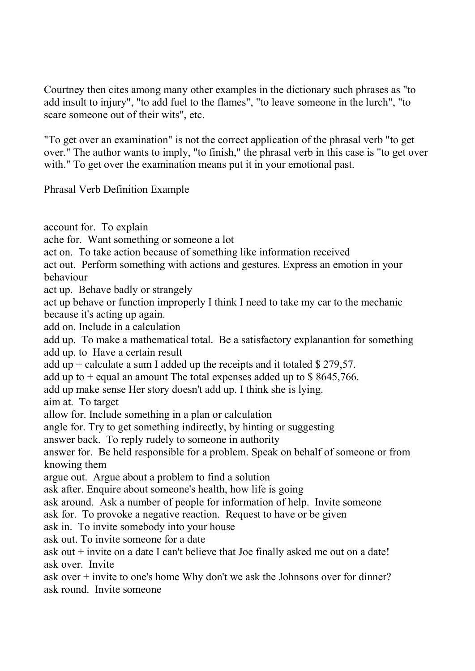Courtney then cites among many other examples in the dictionary such phrases as "to add insult to injury", "to add fuel to the flames", "to leave someone in the lurch", "to scare someone out of their wits", etc.

"To get over an examination" is not the correct application of the phrasal verb "to get over." The author wants to imply, "to finish," the phrasal verb in this case is "to get over with." To get over the examination means put it in your emotional past.

Phrasal Verb Definition Example

account for. To explain ache for. Want something or someone a lot act on. To take action because of something like information received act out. Perform something with actions and gestures. Express an emotion in your behaviour act up. Behave badly or strangely act up behave or function improperly I think I need to take my car to the mechanic because it's acting up again. add on. Include in a calculation add up. To make a mathematical total. Be a satisfactory explanantion for something add up. to Have a certain result add up  $+$  calculate a sum I added up the receipts and it totaled \$ 279.57. add up to  $+$  equal an amount The total expenses added up to \$ 8645,766. add up make sense Her story doesn't add up. I think she is lying. aim at. To target allow for. Include something in a plan or calculation angle for. Try to get something indirectly, by hinting or suggesting answer back. To reply rudely to someone in authority answer for. Be held responsible for a problem. Speak on behalf of someone or from knowing them argue out. Argue about a problem to find a solution ask after. Enquire about someone's health, how life is going ask around. Ask a number of people for information of help. Invite someone ask for. To provoke a negative reaction. Request to have or be given ask in. To invite somebody into your house ask out. To invite someone for a date ask out + invite on a date I can't believe that Joe finally asked me out on a date! ask over. Invite ask over + invite to one's home Why don't we ask the Johnsons over for dinner? ask round. Invite someone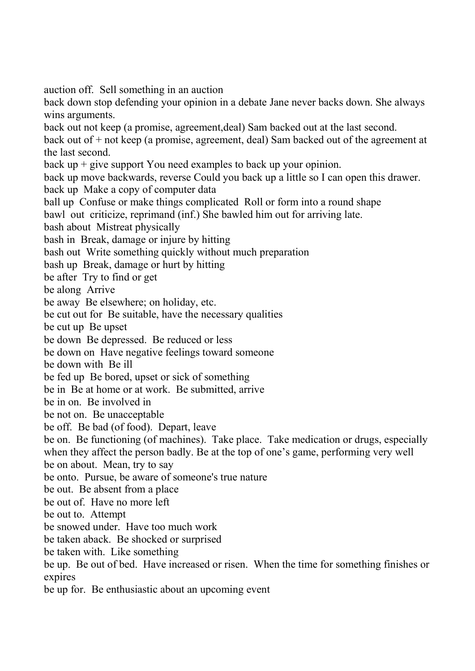auction off. Sell something in an auction

back down stop defending your opinion in a debate Jane never backs down. She always wins arguments.

back out not keep (a promise, agreement,deal) Sam backed out at the last second.

back out of + not keep (a promise, agreement, deal) Sam backed out of the agreement at the last second.

back up  $+$  give support You need examples to back up your opinion.

back up move backwards, reverse Could you back up a little so I can open this drawer. back up Make a copy of computer data

ball up Confuse or make things complicated Roll or form into a round shape

bawl out criticize, reprimand (inf.) She bawled him out for arriving late.

bash about Mistreat physically

bash in Break, damage or injure by hitting

bash out Write something quickly without much preparation

bash up Break, damage or hurt by hitting

be after Try to find or get

be along Arrive

be away Be elsewhere; on holiday, etc.

be cut out for Be suitable, have the necessary qualities

be cut up Be upset

be down Be depressed. Be reduced or less

be down on Have negative feelings toward someone

be down with Be ill

be fed up Be bored, upset or sick of something

be in Be at home or at work. Be submitted, arrive

be in on. Be involved in

be not on. Be unacceptable

be off. Be bad (of food). Depart, leave

be on. Be functioning (of machines). Take place. Take medication or drugs, especially

when they affect the person badly. Be at the top of one's game, performing very well

be on about. Mean, try to say

be onto. Pursue, be aware of someone's true nature

be out. Be absent from a place

be out of. Have no more left

be out to. Attempt

be snowed under. Have too much work

be taken aback. Be shocked or surprised

be taken with. Like something

be up. Be out of bed. Have increased or risen. When the time for something finishes or expires

be up for. Be enthusiastic about an upcoming event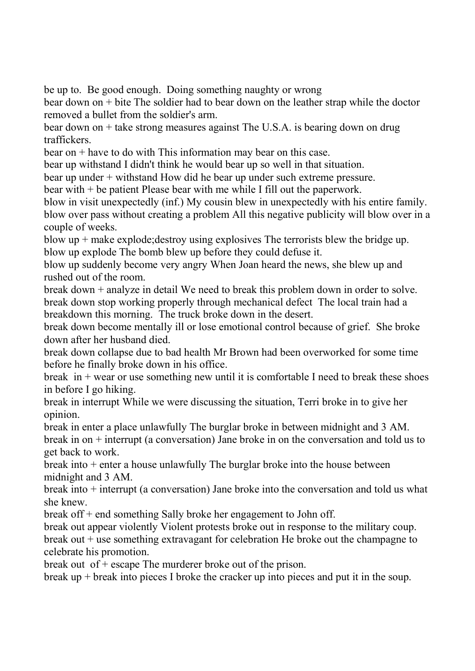be up to. Be good enough. Doing something naughty or wrong

bear down on + bite The soldier had to bear down on the leather strap while the doctor removed a bullet from the soldier's arm.

bear down on + take strong measures against The U.S.A. is bearing down on drug traffickers.

bear on + have to do with This information may bear on this case.

bear up withstand I didn't think he would bear up so well in that situation.

bear up under + withstand How did he bear up under such extreme pressure.

bear with + be patient Please bear with me while I fill out the paperwork.

blow in visit unexpectedly (inf.) My cousin blew in unexpectedly with his entire family. blow over pass without creating a problem All this negative publicity will blow over in a couple of weeks.

blow up  $+$  make explode; destroy using explosives The terrorists blew the bridge up. blow up explode The bomb blew up before they could defuse it.

blow up suddenly become very angry When Joan heard the news, she blew up and rushed out of the room.

break down + analyze in detail We need to break this problem down in order to solve. break down stop working properly through mechanical defect The local train had a breakdown this morning. The truck broke down in the desert.

break down become mentally ill or lose emotional control because of grief. She broke down after her husband died.

break down collapse due to bad health Mr Brown had been overworked for some time before he finally broke down in his office.

break in  $+$  wear or use something new until it is comfortable I need to break these shoes in before I go hiking.

break in interrupt While we were discussing the situation, Terri broke in to give her opinion.

break in enter a place unlawfully The burglar broke in between midnight and 3 AM. break in on + interrupt (a conversation) Jane broke in on the conversation and told us to get back to work.

break into + enter a house unlawfully The burglar broke into the house between midnight and 3 AM.

break into + interrupt (a conversation) Jane broke into the conversation and told us what she knew.

break off + end something Sally broke her engagement to John off.

break out appear violently Violent protests broke out in response to the military coup. break out  $+$  use something extravagant for celebration He broke out the champagne to

celebrate his promotion.

break out of + escape The murderer broke out of the prison.

break up + break into pieces I broke the cracker up into pieces and put it in the soup.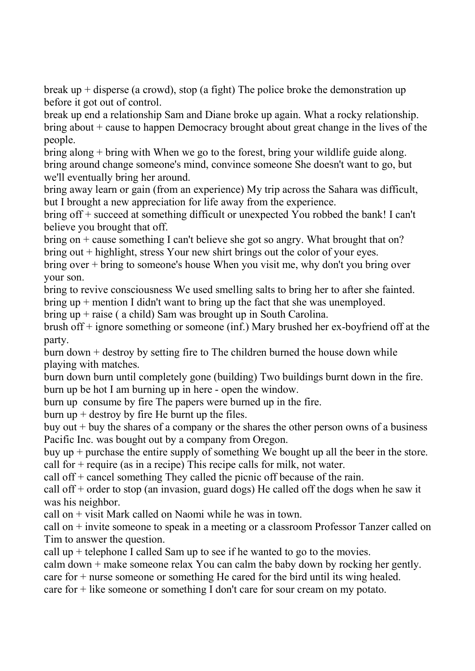break up + disperse (a crowd), stop (a fight) The police broke the demonstration up before it got out of control.

break up end a relationship Sam and Diane broke up again. What a rocky relationship. bring about + cause to happen Democracy brought about great change in the lives of the people.

bring along + bring with When we go to the forest, bring your wildlife guide along. bring around change someone's mind, convince someone She doesn't want to go, but we'll eventually bring her around.

bring away learn or gain (from an experience) My trip across the Sahara was difficult, but I brought a new appreciation for life away from the experience.

bring off + succeed at something difficult or unexpected You robbed the bank! I can't believe you brought that off.

bring on + cause something I can't believe she got so angry. What brought that on? bring out + highlight, stress Your new shirt brings out the color of your eyes.

bring over + bring to someone's house When you visit me, why don't you bring over your son.

bring to revive consciousness We used smelling salts to bring her to after she fainted. bring up + mention I didn't want to bring up the fact that she was unemployed.

bring up + raise ( a child) Sam was brought up in South Carolina.

brush off + ignore something or someone (inf.) Mary brushed her ex-boyfriend off at the party.

burn down + destroy by setting fire to The children burned the house down while playing with matches.

burn down burn until completely gone (building) Two buildings burnt down in the fire. burn up be hot I am burning up in here - open the window.

burn up consume by fire The papers were burned up in the fire.

burn up  $+$  destroy by fire He burnt up the files.

buy out  $+$  buy the shares of a company or the shares the other person owns of a business Pacific Inc. was bought out by a company from Oregon.

buy up + purchase the entire supply of something We bought up all the beer in the store. call for + require (as in a recipe) This recipe calls for milk, not water.

call off + cancel something They called the picnic off because of the rain.

call off + order to stop (an invasion, guard dogs) He called off the dogs when he saw it was his neighbor.

call on + visit Mark called on Naomi while he was in town.

call on + invite someone to speak in a meeting or a classroom Professor Tanzer called on Tim to answer the question.

call up  $+$  telephone I called Sam up to see if he wanted to go to the movies.

calm down + make someone relax You can calm the baby down by rocking her gently.

care for  $+$  nurse someone or something He cared for the bird until its wing healed.

care for + like someone or something I don't care for sour cream on my potato.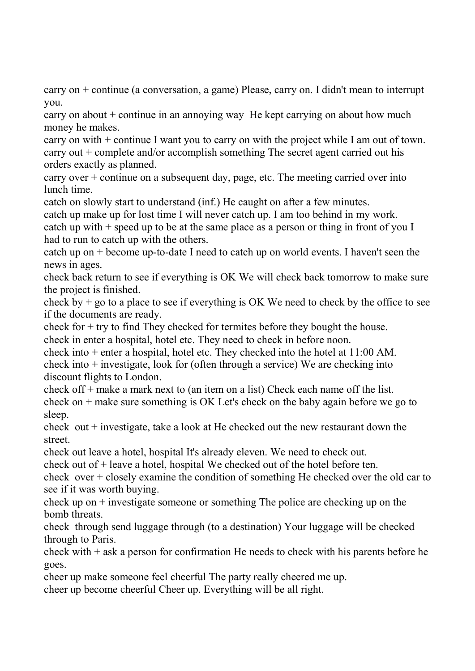carry on + continue (a conversation, a game) Please, carry on. I didn't mean to interrupt you.

carry on about + continue in an annoying way He kept carrying on about how much money he makes.

carry on with + continue I want you to carry on with the project while I am out of town. carry out  $+$  complete and/or accomplish something The secret agent carried out his orders exactly as planned.

carry over + continue on a subsequent day, page, etc. The meeting carried over into lunch time.

catch on slowly start to understand (inf.) He caught on after a few minutes.

catch up make up for lost time I will never catch up. I am too behind in my work. catch up with + speed up to be at the same place as a person or thing in front of you I had to run to catch up with the others.

catch up on + become up-to-date I need to catch up on world events. I haven't seen the news in ages.

check back return to see if everything is OK We will check back tomorrow to make sure the project is finished.

check by  $+$  go to a place to see if everything is OK We need to check by the office to see if the documents are ready.

check for  $+$  try to find They checked for termites before they bought the house.

check in enter a hospital, hotel etc. They need to check in before noon.

check into + enter a hospital, hotel etc. They checked into the hotel at 11:00 AM. check into + investigate, look for (often through a service) We are checking into discount flights to London.

check off + make a mark next to (an item on a list) Check each name off the list. check on + make sure something is OK Let's check on the baby again before we go to sleep.

check out  $+$  investigate, take a look at He checked out the new restaurant down the street.

check out leave a hotel, hospital It's already eleven. We need to check out.

check out of + leave a hotel, hospital We checked out of the hotel before ten.

check over + closely examine the condition of something He checked over the old car to see if it was worth buying.

check up on + investigate someone or something The police are checking up on the bomb threats.

check through send luggage through (to a destination) Your luggage will be checked through to Paris.

check with + ask a person for confirmation He needs to check with his parents before he goes.

cheer up make someone feel cheerful The party really cheered me up.

cheer up become cheerful Cheer up. Everything will be all right.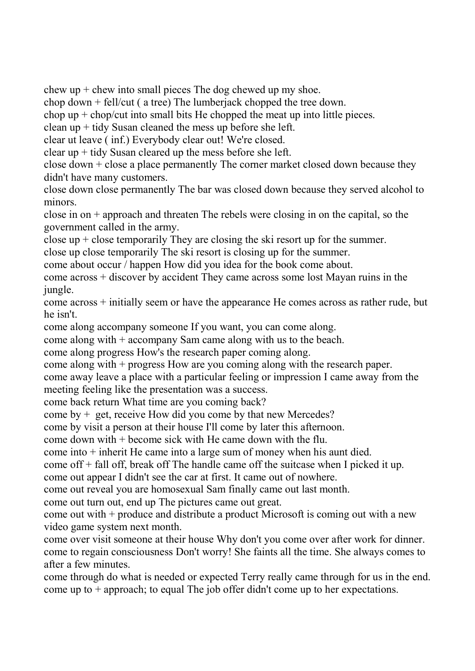chew up  $+$  chew into small pieces The dog chewed up my shoe.

chop down + fell/cut ( a tree) The lumberjack chopped the tree down.

chop up  $+$  chop/cut into small bits He chopped the meat up into little pieces.

clean up + tidy Susan cleaned the mess up before she left.

clear ut leave ( inf.) Everybody clear out! We're closed.

clear up + tidy Susan cleared up the mess before she left.

close down + close a place permanently The corner market closed down because they didn't have many customers.

close down close permanently The bar was closed down because they served alcohol to minors.

close in on + approach and threaten The rebels were closing in on the capital, so the government called in the army.

close up  $+$  close temporarily They are closing the ski resort up for the summer.

close up close temporarily The ski resort is closing up for the summer.

come about occur / happen How did you idea for the book come about.

come across + discover by accident They came across some lost Mayan ruins in the jungle.

come across + initially seem or have the appearance He comes across as rather rude, but he isn't.

come along accompany someone If you want, you can come along.

come along with + accompany Sam came along with us to the beach.

come along progress How's the research paper coming along.

come along with + progress How are you coming along with the research paper.

come away leave a place with a particular feeling or impression I came away from the meeting feeling like the presentation was a success.

come back return What time are you coming back?

come by  $+$  get, receive How did you come by that new Mercedes?

come by visit a person at their house I'll come by later this afternoon.

come down with + become sick with He came down with the flu.

come into + inherit He came into a large sum of money when his aunt died.

come off + fall off, break off The handle came off the suitcase when I picked it up.

come out appear I didn't see the car at first. It came out of nowhere.

come out reveal you are homosexual Sam finally came out last month.

come out turn out, end up The pictures came out great.

come out with + produce and distribute a product Microsoft is coming out with a new video game system next month.

come over visit someone at their house Why don't you come over after work for dinner. come to regain consciousness Don't worry! She faints all the time. She always comes to after a few minutes.

come through do what is needed or expected Terry really came through for us in the end. come up to  $+$  approach; to equal The job offer didn't come up to her expectations.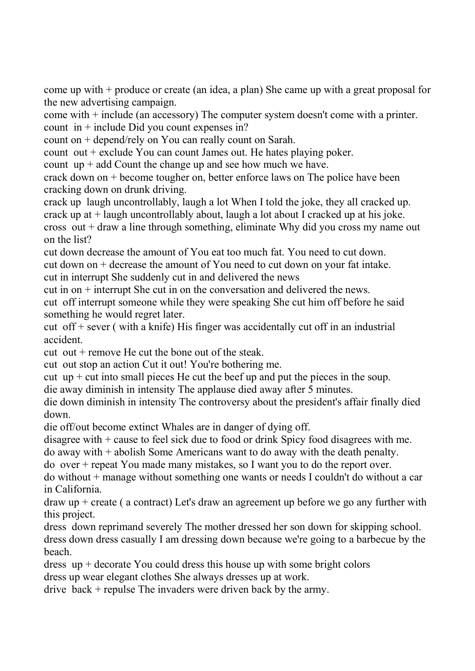come up with + produce or create (an idea, a plan) She came up with a great proposal for the new advertising campaign.

come with + include (an accessory) The computer system doesn't come with a printer. count in + include Did you count expenses in?

count on + depend/rely on You can really count on Sarah.

count out + exclude You can count James out. He hates playing poker.

count  $up + add Count the change up and see how much we have.$ 

crack down on + become tougher on, better enforce laws on The police have been cracking down on drunk driving.

crack up laugh uncontrollably, laugh a lot When I told the joke, they all cracked up. crack up at + laugh uncontrollably about, laugh a lot about I cracked up at his joke. cross out  $+$  draw a line through something, eliminate Why did you cross my name out on the list?

cut down decrease the amount of You eat too much fat. You need to cut down. cut down on + decrease the amount of You need to cut down on your fat intake.

cut in interrupt She suddenly cut in and delivered the news

cut in on + interrupt She cut in on the conversation and delivered the news.

cut off interrupt someone while they were speaking She cut him off before he said something he would regret later.

cut off + sever ( with a knife) His finger was accidentally cut off in an industrial accident.

cut out + remove He cut the bone out of the steak.

cut out stop an action Cut it out! You're bothering me.

cut up  $+$  cut into small pieces He cut the beef up and put the pieces in the soup.

die away diminish in intensity The applause died away after 5 minutes.

die down diminish in intensity The controversy about the president's affair finally died down.

die off/out become extinct Whales are in danger of dying off.

disagree with + cause to feel sick due to food or drink Spicy food disagrees with me.

do away with + abolish Some Americans want to do away with the death penalty.

do over + repeat You made many mistakes, so I want you to do the report over.

do without + manage without something one wants or needs I couldn't do without a car in California.

 $d$ raw up + create (a contract) Let's draw an agreement up before we go any further with this project.

dress down reprimand severely The mother dressed her son down for skipping school. dress down dress casually I am dressing down because we're going to a barbecue by the beach.

dress up  $+$  decorate You could dress this house up with some bright colors

dress up wear elegant clothes She always dresses up at work.

drive back + repulse The invaders were driven back by the army.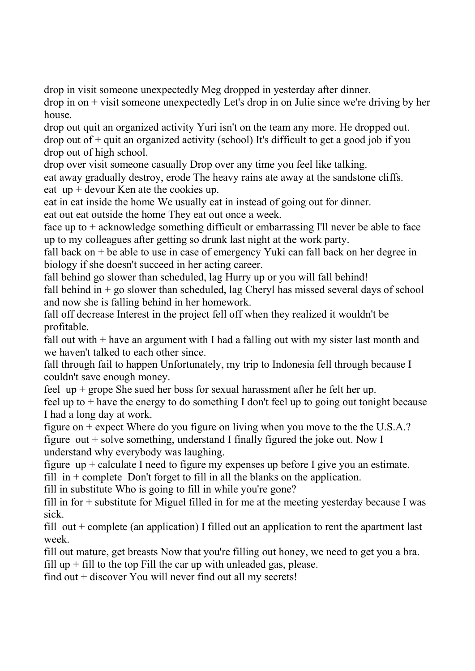drop in visit someone unexpectedly Meg dropped in yesterday after dinner.

drop in on + visit someone unexpectedly Let's drop in on Julie since we're driving by her house.

drop out quit an organized activity Yuri isn't on the team any more. He dropped out. drop out of + quit an organized activity (school) It's difficult to get a good job if you drop out of high school.

drop over visit someone casually Drop over any time you feel like talking.

eat away gradually destroy, erode The heavy rains ate away at the sandstone cliffs. eat up  $+$  devour Ken ate the cookies up.

eat in eat inside the home We usually eat in instead of going out for dinner.

eat out eat outside the home They eat out once a week.

face up to + acknowledge something difficult or embarrassing I'll never be able to face up to my colleagues after getting so drunk last night at the work party.

fall back on  $+$  be able to use in case of emergency Yuki can fall back on her degree in biology if she doesn't succeed in her acting career.

fall behind go slower than scheduled, lag Hurry up or you will fall behind!

fall behind in  $+$  go slower than scheduled, lag Cheryl has missed several days of school and now she is falling behind in her homework.

fall off decrease Interest in the project fell off when they realized it wouldn't be profitable.

fall out with  $+$  have an argument with I had a falling out with my sister last month and we haven't talked to each other since.

fall through fail to happen Unfortunately, my trip to Indonesia fell through because I couldn't save enough money.

feel up  $+$  grope She sued her boss for sexual harassment after he felt her up.

feel up to  $+$  have the energy to do something I don't feel up to going out tonight because I had a long day at work.

figure on + expect Where do you figure on living when you move to the the U.S.A.? figure out + solve something, understand I finally figured the joke out. Now I understand why everybody was laughing.

figure up + calculate I need to figure my expenses up before I give you an estimate.

fill in  $+$  complete Don't forget to fill in all the blanks on the application.

fill in substitute Who is going to fill in while you're gone?

fill in for + substitute for Miguel filled in for me at the meeting yesterday because I was sick.

fill out + complete (an application) I filled out an application to rent the apartment last week.

fill out mature, get breasts Now that you're filling out honey, we need to get you a bra. fill up  $+$  fill to the top Fill the car up with unleaded gas, please.

find out + discover You will never find out all my secrets!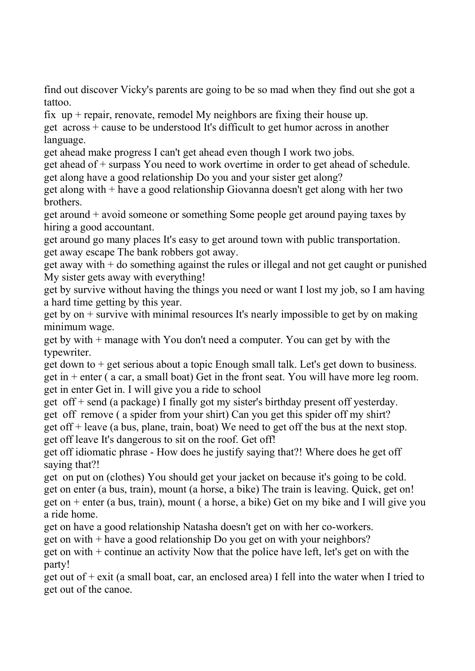find out discover Vicky's parents are going to be so mad when they find out she got a tattoo.

fix  $up + repair$ , renovate, remodel My neighbors are fixing their house up.

get across + cause to be understood It's difficult to get humor across in another language.

get ahead make progress I can't get ahead even though I work two jobs.

get ahead of + surpass You need to work overtime in order to get ahead of schedule.

get along have a good relationship Do you and your sister get along?

get along with + have a good relationship Giovanna doesn't get along with her two brothers.

get around + avoid someone or something Some people get around paying taxes by hiring a good accountant.

get around go many places It's easy to get around town with public transportation. get away escape The bank robbers got away.

get away with  $+$  do something against the rules or illegal and not get caught or punished My sister gets away with everything!

get by survive without having the things you need or want I lost my job, so I am having a hard time getting by this year.

get by on + survive with minimal resources It's nearly impossible to get by on making minimum wage.

get by with + manage with You don't need a computer. You can get by with the typewriter.

get down to + get serious about a topic Enough small talk. Let's get down to business. get in + enter ( a car, a small boat) Get in the front seat. You will have more leg room. get in enter Get in. I will give you a ride to school

get off + send (a package) I finally got my sister's birthday present off yesterday. get off remove ( a spider from your shirt) Can you get this spider off my shirt? get off + leave (a bus, plane, train, boat) We need to get off the bus at the next stop. get off leave It's dangerous to sit on the roof. Get off!

get off idiomatic phrase - How does he justify saying that?! Where does he get off saying that?!

get on put on (clothes) You should get your jacket on because it's going to be cold. get on enter (a bus, train), mount (a horse, a bike) The train is leaving. Quick, get on! get on + enter (a bus, train), mount ( a horse, a bike) Get on my bike and I will give you a ride home.

get on have a good relationship Natasha doesn't get on with her co-workers.

get on with + have a good relationship Do you get on with your neighbors?

get on with + continue an activity Now that the police have left, let's get on with the party!

get out of  $+$  exit (a small boat, car, an enclosed area) I fell into the water when I tried to get out of the canoe.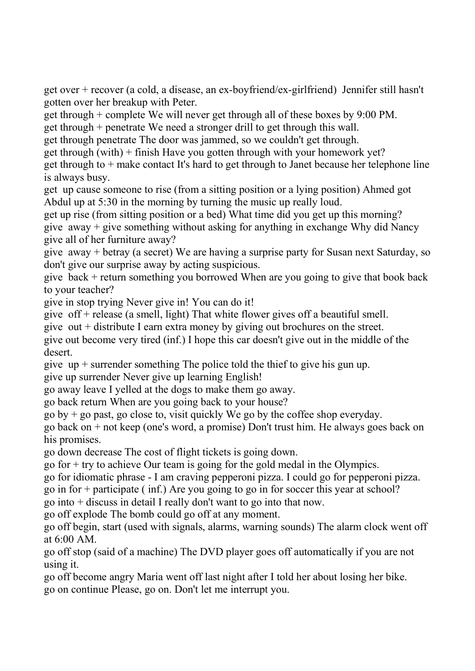get over + recover (a cold, a disease, an ex-boyfriend/ex-girlfriend) Jennifer still hasn't gotten over her breakup with Peter.

get through + complete We will never get through all of these boxes by 9:00 PM.

get through + penetrate We need a stronger drill to get through this wall.

get through penetrate The door was jammed, so we couldn't get through.

get through (with) + finish Have you gotten through with your homework yet?

get through to + make contact It's hard to get through to Janet because her telephone line is always busy.

get up cause someone to rise (from a sitting position or a lying position) Ahmed got Abdul up at 5:30 in the morning by turning the music up really loud.

get up rise (from sitting position or a bed) What time did you get up this morning?

give away  $+$  give something without asking for anything in exchange Why did Nancy give all of her furniture away?

give away + betray (a secret) We are having a surprise party for Susan next Saturday, so don't give our surprise away by acting suspicious.

give back + return something you borrowed When are you going to give that book back to your teacher?

give in stop trying Never give in! You can do it!

give off + release (a smell, light) That white flower gives off a beautiful smell.

give out + distribute I earn extra money by giving out brochures on the street.

give out become very tired (inf.) I hope this car doesn't give out in the middle of the desert.

give  $up +$  surrender something The police told the thief to give his gun up.

give up surrender Never give up learning English!

go away leave I yelled at the dogs to make them go away.

go back return When are you going back to your house?

go by  $+$  go past, go close to, visit quickly We go by the coffee shop everyday.

go back on + not keep (one's word, a promise) Don't trust him. He always goes back on his promises.

go down decrease The cost of flight tickets is going down.

go for + try to achieve Our team is going for the gold medal in the Olympics.

go for idiomatic phrase - I am craving pepperoni pizza. I could go for pepperoni pizza.

go in for + participate ( inf.) Are you going to go in for soccer this year at school?

go into + discuss in detail I really don't want to go into that now.

go off explode The bomb could go off at any moment.

go off begin, start (used with signals, alarms, warning sounds) The alarm clock went off at 6:00 AM.

go off stop (said of a machine) The DVD player goes off automatically if you are not using it.

go off become angry Maria went off last night after I told her about losing her bike. go on continue Please, go on. Don't let me interrupt you.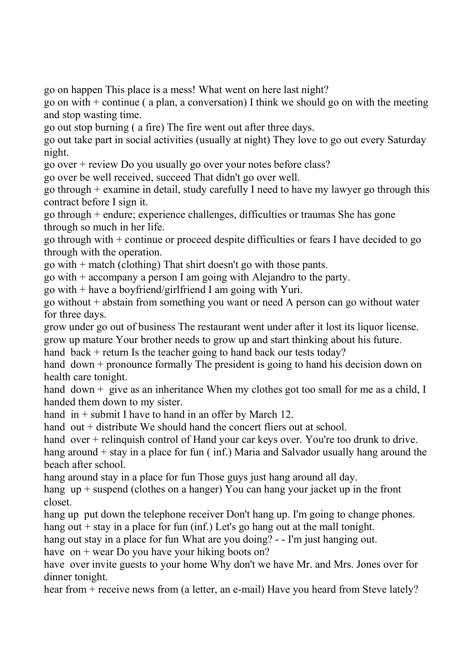go on happen This place is a mess! What went on here last night?

go on with  $+$  continue (a plan, a conversation) I think we should go on with the meeting and stop wasting time.

go out stop burning ( a fire) The fire went out after three days.

go out take part in social activities (usually at night) They love to go out every Saturday night.

go over + review Do you usually go over your notes before class?

go over be well received, succeed That didn't go over well.

go through + examine in detail, study carefully I need to have my lawyer go through this contract before I sign it.

go through + endure; experience challenges, difficulties or traumas She has gone through so much in her life.

go through with + continue or proceed despite difficulties or fears I have decided to go through with the operation.

go with + match (clothing) That shirt doesn't go with those pants.

go with + accompany a person I am going with Alejandro to the party.

go with + have a boyfriend/girlfriend I am going with Yuri.

go without + abstain from something you want or need A person can go without water for three days.

grow under go out of business The restaurant went under after it lost its liquor license.

grow up mature Your brother needs to grow up and start thinking about his future.

hand back + return Is the teacher going to hand back our tests today?

hand down + pronounce formally The president is going to hand his decision down on health care tonight.

hand down + give as an inheritance When my clothes got too small for me as a child, I handed them down to my sister.

hand in + submit I have to hand in an offer by March 12.

hand out  $+$  distribute We should hand the concert fliers out at school.

hand over + relinguish control of Hand your car keys over. You're too drunk to drive.

hang around + stay in a place for fun (inf.) Maria and Salvador usually hang around the beach after school.

hang around stay in a place for fun Those guys just hang around all day.

hang up + suspend (clothes on a hanger) You can hang your jacket up in the front closet.

hang up put down the telephone receiver Don't hang up. I'm going to change phones. hang out  $+$  stay in a place for fun (inf.) Let's go hang out at the mall tonight.

hang out stay in a place for fun What are you doing? - - I'm just hanging out.

have on + wear Do you have your hiking boots on?

have over invite guests to your home Why don't we have Mr. and Mrs. Jones over for dinner tonight.

hear from + receive news from (a letter, an e-mail) Have you heard from Steve lately?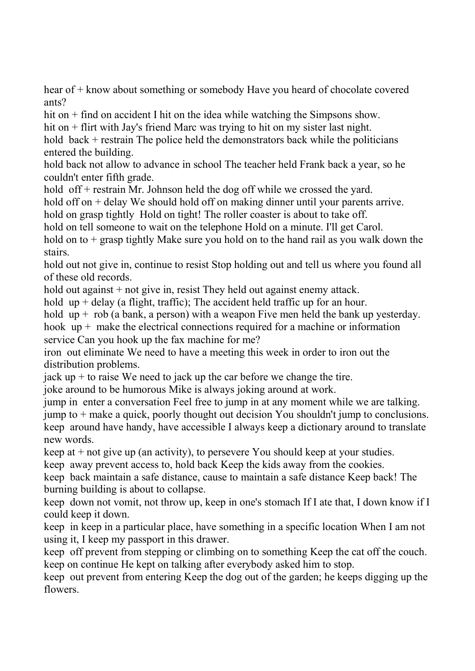hear of + know about something or somebody Have you heard of chocolate covered ants?

hit on + find on accident I hit on the idea while watching the Simpsons show.

hit on + flirt with Jay's friend Marc was trying to hit on my sister last night.

hold back + restrain The police held the demonstrators back while the politicians entered the building.

hold back not allow to advance in school The teacher held Frank back a year, so he couldn't enter fifth grade.

hold off + restrain Mr. Johnson held the dog off while we crossed the yard.

hold off on + delay We should hold off on making dinner until your parents arrive.

hold on grasp tightly Hold on tight! The roller coaster is about to take off.

hold on tell someone to wait on the telephone Hold on a minute. I'll get Carol.

hold on to  $+$  grasp tightly Make sure you hold on to the hand rail as you walk down the stairs.

hold out not give in, continue to resist Stop holding out and tell us where you found all of these old records.

hold out against + not give in, resist They held out against enemy attack.

hold  $up + delay$  (a flight, traffic); The accident held traffic up for an hour.

hold up  $+$  rob (a bank, a person) with a weapon Five men held the bank up yesterday.

hook up  $+$  make the electrical connections required for a machine or information service Can you hook up the fax machine for me?

iron out eliminate We need to have a meeting this week in order to iron out the distribution problems.

jack up  $+$  to raise We need to jack up the car before we change the tire.

joke around to be humorous Mike is always joking around at work.

jump in enter a conversation Feel free to jump in at any moment while we are talking. jump to + make a quick, poorly thought out decision You shouldn't jump to conclusions. keep around have handy, have accessible I always keep a dictionary around to translate new words.

keep at  $+$  not give up (an activity), to persevere You should keep at your studies.

keep away prevent access to, hold back Keep the kids away from the cookies.

keep back maintain a safe distance, cause to maintain a safe distance Keep back! The burning building is about to collapse.

keep down not vomit, not throw up, keep in one's stomach If I ate that, I down know if I could keep it down.

keep in keep in a particular place, have something in a specific location When I am not using it, I keep my passport in this drawer.

keep off prevent from stepping or climbing on to something Keep the cat off the couch. keep on continue He kept on talking after everybody asked him to stop.

keep out prevent from entering Keep the dog out of the garden; he keeps digging up the flowers.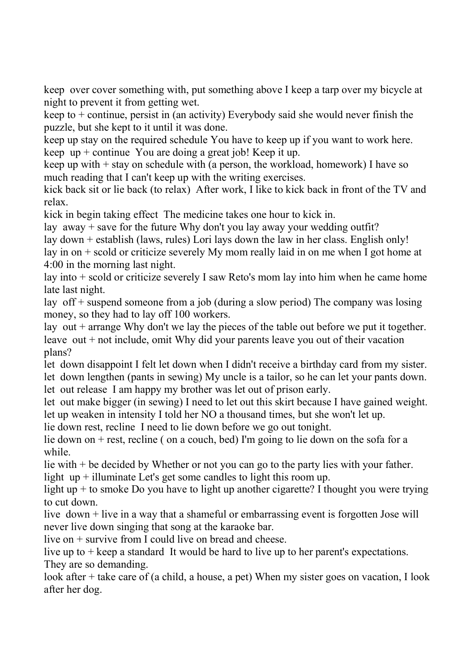keep over cover something with, put something above I keep a tarp over my bicycle at night to prevent it from getting wet.

keep to  $+$  continue, persist in (an activity) Everybody said she would never finish the puzzle, but she kept to it until it was done.

keep up stay on the required schedule You have to keep up if you want to work here. keep up  $+$  continue You are doing a great job! Keep it up.

keep up with  $+$  stay on schedule with (a person, the workload, homework) I have so much reading that I can't keep up with the writing exercises.

kick back sit or lie back (to relax) After work, I like to kick back in front of the TV and relax.

kick in begin taking effect The medicine takes one hour to kick in.

lay away  $+$  save for the future Why don't you lay away your wedding outfit?

lay down + establish (laws, rules) Lori lays down the law in her class. English only! lay in on + scold or criticize severely My mom really laid in on me when I got home at 4:00 in the morning last night.

lay into + scold or criticize severely I saw Reto's mom lay into him when he came home late last night.

lay off + suspend someone from a job (during a slow period) The company was losing money, so they had to lay off 100 workers.

lay out  $+$  arrange Why don't we lay the pieces of the table out before we put it together. leave out + not include, omit Why did your parents leave you out of their vacation plans?

let down disappoint I felt let down when I didn't receive a birthday card from my sister. let down lengthen (pants in sewing) My uncle is a tailor, so he can let your pants down. let out release I am happy my brother was let out of prison early.

let out make bigger (in sewing) I need to let out this skirt because I have gained weight. let up weaken in intensity I told her NO a thousand times, but she won't let up.

lie down rest, recline I need to lie down before we go out tonight.

lie down on + rest, recline ( on a couch, bed) I'm going to lie down on the sofa for a while.

lie with + be decided by Whether or not you can go to the party lies with your father. light up + illuminate Let's get some candles to light this room up.

light up  $+$  to smoke Do you have to light up another cigarette? I thought you were trying to cut down.

live down + live in a way that a shameful or embarrassing event is forgotten Jose will never live down singing that song at the karaoke bar.

live on + survive from I could live on bread and cheese.

live up to + keep a standard It would be hard to live up to her parent's expectations. They are so demanding.

look after + take care of (a child, a house, a pet) When my sister goes on vacation, I look after her dog.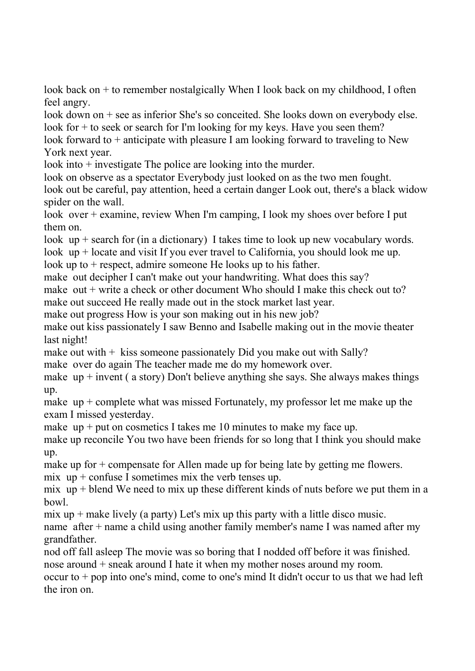look back on  $+$  to remember nostalgically When I look back on my childhood, I often feel angry.

look down on + see as inferior She's so conceited. She looks down on everybody else. look for  $+$  to seek or search for I'm looking for my keys. Have you seen them? look forward to  $+$  anticipate with pleasure I am looking forward to traveling to New York next year.

look into + investigate The police are looking into the murder.

look on observe as a spectator Everybody just looked on as the two men fought. look out be careful, pay attention, heed a certain danger Look out, there's a black widow spider on the wall.

look over + examine, review When I'm camping, I look my shoes over before I put them on.

look up  $+$  search for (in a dictionary) I takes time to look up new vocabulary words.

look up + locate and visit If you ever travel to California, you should look me up.

look up to + respect, admire someone He looks up to his father.

make out decipher I can't make out your handwriting. What does this say?

make out + write a check or other document Who should I make this check out to? make out succeed He really made out in the stock market last year.

make out progress How is your son making out in his new job?

make out kiss passionately I saw Benno and Isabelle making out in the movie theater last night!

make out with  $+$  kiss someone passionately Did you make out with Sally?

make over do again The teacher made me do my homework over.

make up  $+$  invent (a story) Don't believe anything she says. She always makes things up.

make  $up + complete$  what was missed Fortunately, my professor let me make up the exam I missed yesterday.

make  $up + put$  on cosmetics I takes me 10 minutes to make my face up.

make up reconcile You two have been friends for so long that I think you should make up.

make up for + compensate for Allen made up for being late by getting me flowers. mix  $up + \text{confuse}$  I sometimes mix the verb tenses up.

mix  $up + blend$  We need to mix up these different kinds of nuts before we put them in a bowl.

mix up  $+$  make lively (a party) Let's mix up this party with a little disco music. name after + name a child using another family member's name I was named after my grandfather.

nod off fall asleep The movie was so boring that I nodded off before it was finished. nose around + sneak around I hate it when my mother noses around my room.

occur to  $+$  pop into one's mind, come to one's mind It didn't occur to us that we had left the iron on.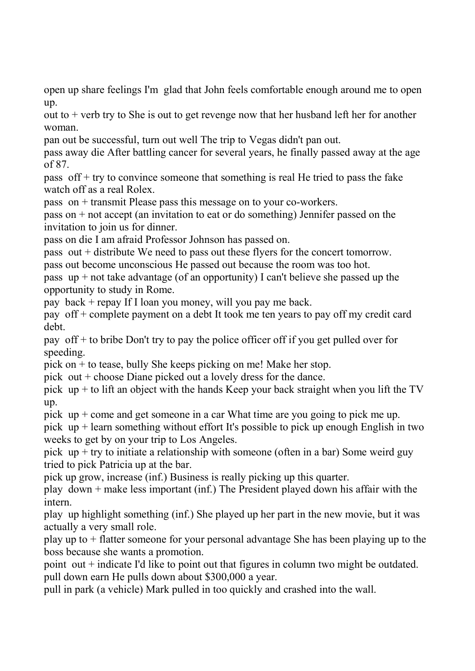open up share feelings I'm glad that John feels comfortable enough around me to open up.

out to  $+$  verb try to She is out to get revenge now that her husband left her for another woman.

pan out be successful, turn out well The trip to Vegas didn't pan out.

pass away die After battling cancer for several years, he finally passed away at the age of 87.

pass off + try to convince someone that something is real He tried to pass the fake watch off as a real Rolex.

pass on + transmit Please pass this message on to your co-workers.

pass on  $+$  not accept (an invitation to eat or do something) Jennifer passed on the invitation to join us for dinner.

pass on die I am afraid Professor Johnson has passed on.

pass out + distribute We need to pass out these flyers for the concert tomorrow.

pass out become unconscious He passed out because the room was too hot.

pass up  $+$  not take advantage (of an opportunity) I can't believe she passed up the opportunity to study in Rome.

pay back + repay If I loan you money, will you pay me back.

pay off + complete payment on a debt It took me ten years to pay off my credit card debt.

pay off + to bribe Don't try to pay the police officer off if you get pulled over for speeding.

pick on + to tease, bully She keeps picking on me! Make her stop.

pick out + choose Diane picked out a lovely dress for the dance.

pick up  $+$  to lift an object with the hands Keep your back straight when you lift the TV up.

pick up + come and get someone in a car What time are you going to pick me up.

pick up + learn something without effort It's possible to pick up enough English in two weeks to get by on your trip to Los Angeles.

pick up  $+$  try to initiate a relationship with someone (often in a bar) Some weird guy tried to pick Patricia up at the bar.

pick up grow, increase (inf.) Business is really picking up this quarter.

play down + make less important (inf.) The President played down his affair with the intern.

play up highlight something (inf.) She played up her part in the new movie, but it was actually a very small role.

play up to + flatter someone for your personal advantage She has been playing up to the boss because she wants a promotion.

point out + indicate I'd like to point out that figures in column two might be outdated. pull down earn He pulls down about \$300,000 a year.

pull in park (a vehicle) Mark pulled in too quickly and crashed into the wall.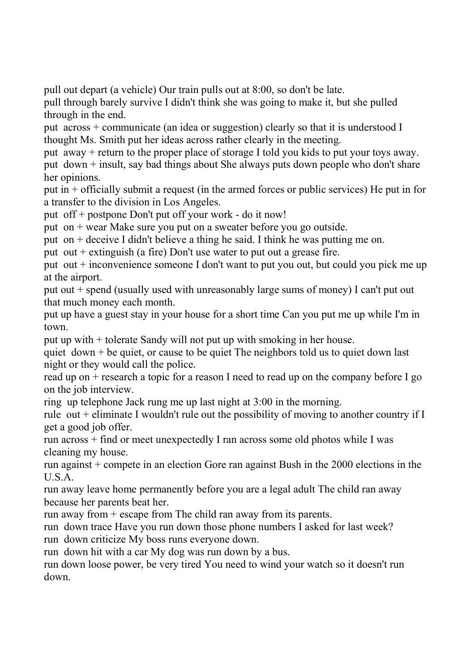pull out depart (a vehicle) Our train pulls out at 8:00, so don't be late.

pull through barely survive I didn't think she was going to make it, but she pulled through in the end.

put across + communicate (an idea or suggestion) clearly so that it is understood I thought Ms. Smith put her ideas across rather clearly in the meeting.

put away + return to the proper place of storage I told you kids to put your toys away. put down + insult, say bad things about She always puts down people who don't share her opinions.

put in  $+$  officially submit a request (in the armed forces or public services) He put in for a transfer to the division in Los Angeles.

put off + postpone Don't put off your work - do it now!

put on + wear Make sure you put on a sweater before you go outside.

put on + deceive I didn't believe a thing he said. I think he was putting me on.

put out + extinguish (a fire) Don't use water to put out a grease fire.

put out + inconvenience someone I don't want to put you out, but could you pick me up at the airport.

put out + spend (usually used with unreasonably large sums of money) I can't put out that much money each month.

put up have a guest stay in your house for a short time Can you put me up while I'm in town.

put up with + tolerate Sandy will not put up with smoking in her house.

quiet down + be quiet, or cause to be quiet The neighbors told us to quiet down last night or they would call the police.

read up on + research a topic for a reason I need to read up on the company before I go on the job interview.

ring up telephone Jack rung me up last night at 3:00 in the morning.

rule out + eliminate I wouldn't rule out the possibility of moving to another country if I get a good job offer.

run across + find or meet unexpectedly I ran across some old photos while I was cleaning my house.

run against + compete in an election Gore ran against Bush in the 2000 elections in the  $U.S.A$ 

run away leave home permanently before you are a legal adult The child ran away because her parents beat her.

run away from + escape from The child ran away from its parents.

run down trace Have you run down those phone numbers I asked for last week? run down criticize My boss runs everyone down.

run down hit with a car My dog was run down by a bus.

run down loose power, be very tired You need to wind your watch so it doesn't run down.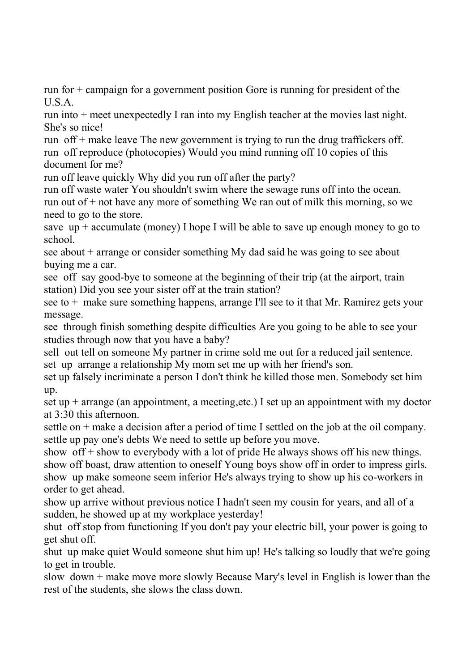run for + campaign for a government position Gore is running for president of the U.S.A.

run into + meet unexpectedly I ran into my English teacher at the movies last night. She's so nice!

run off + make leave The new government is trying to run the drug traffickers off. run off reproduce (photocopies) Would you mind running off 10 copies of this document for me?

run off leave quickly Why did you run off after the party?

run off waste water You shouldn't swim where the sewage runs off into the ocean. run out of  $+$  not have any more of something We ran out of milk this morning, so we need to go to the store.

save  $up + accumulated (money)$  I hope I will be able to save up enough money to go to school.

see about + arrange or consider something My dad said he was going to see about buying me a car.

see off say good-bye to someone at the beginning of their trip (at the airport, train station) Did you see your sister off at the train station?

see to  $+$  make sure something happens, arrange I'll see to it that Mr. Ramirez gets your message.

see through finish something despite difficulties Are you going to be able to see your studies through now that you have a baby?

sell out tell on someone My partner in crime sold me out for a reduced jail sentence. set up arrange a relationship My mom set me up with her friend's son.

set up falsely incriminate a person I don't think he killed those men. Somebody set him up.

set up  $+$  arrange (an appointment, a meeting, etc.) I set up an appointment with my doctor at 3:30 this afternoon.

settle on + make a decision after a period of time I settled on the job at the oil company. settle up pay one's debts We need to settle up before you move.

show of  $f +$  show to everybody with a lot of pride He always shows off his new things. show off boast, draw attention to oneself Young boys show off in order to impress girls. show up make someone seem inferior He's always trying to show up his co-workers in order to get ahead.

show up arrive without previous notice I hadn't seen my cousin for years, and all of a sudden, he showed up at my workplace yesterday!

shut off stop from functioning If you don't pay your electric bill, your power is going to get shut off.

shut up make quiet Would someone shut him up! He's talking so loudly that we're going to get in trouble.

slow down + make move more slowly Because Mary's level in English is lower than the rest of the students, she slows the class down.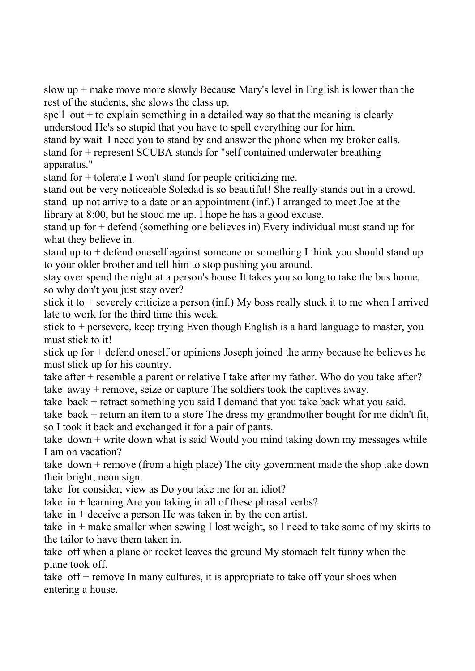slow up + make move more slowly Because Mary's level in English is lower than the rest of the students, she slows the class up.

spell out  $+$  to explain something in a detailed way so that the meaning is clearly understood He's so stupid that you have to spell everything our for him.

stand by wait I need you to stand by and answer the phone when my broker calls. stand for + represent SCUBA stands for "self contained underwater breathing apparatus."

stand for + tolerate I won't stand for people criticizing me.

stand out be very noticeable Soledad is so beautiful! She really stands out in a crowd. stand up not arrive to a date or an appointment (inf.) I arranged to meet Joe at the library at 8:00, but he stood me up. I hope he has a good excuse.

stand up for + defend (something one believes in) Every individual must stand up for what they believe in.

stand up to + defend oneself against someone or something I think you should stand up to your older brother and tell him to stop pushing you around.

stay over spend the night at a person's house It takes you so long to take the bus home, so why don't you just stay over?

stick it to  $+$  severely criticize a person (inf.) My boss really stuck it to me when I arrived late to work for the third time this week.

stick to + persevere, keep trying Even though English is a hard language to master, you must stick to it!

stick up for + defend oneself or opinions Joseph joined the army because he believes he must stick up for his country.

take after + resemble a parent or relative I take after my father. Who do you take after? take away + remove, seize or capture The soldiers took the captives away.

take back + retract something you said I demand that you take back what you said.

take back + return an item to a store The dress my grandmother bought for me didn't fit, so I took it back and exchanged it for a pair of pants.

take  $down + write down what is said Would you mind taking down my messages while$ I am on vacation?

take down + remove (from a high place) The city government made the shop take down their bright, neon sign.

take for consider, view as Do you take me for an idiot?

take in  $+$  learning Are you taking in all of these phrasal verbs?

take in  $+$  deceive a person He was taken in by the con artist.

take in + make smaller when sewing I lost weight, so I need to take some of my skirts to the tailor to have them taken in.

take off when a plane or rocket leaves the ground My stomach felt funny when the plane took off.

take off + remove In many cultures, it is appropriate to take off your shoes when entering a house.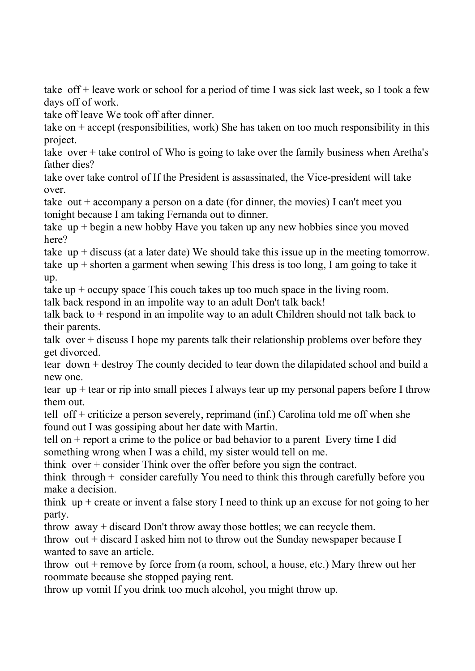take off + leave work or school for a period of time I was sick last week, so I took a few days off of work.

take off leave We took off after dinner.

take on + accept (responsibilities, work) She has taken on too much responsibility in this project.

take over + take control of Who is going to take over the family business when Aretha's father dies?

take over take control of If the President is assassinated, the Vice-president will take over.

take out  $+$  accompany a person on a date (for dinner, the movies) I can't meet you tonight because I am taking Fernanda out to dinner.

take up + begin a new hobby Have you taken up any new hobbies since you moved here?

take up  $+$  discuss (at a later date) We should take this issue up in the meeting tomorrow.

take up + shorten a garment when sewing This dress is too long, I am going to take it up.

take up  $+$  occupy space This couch takes up too much space in the living room. talk back respond in an impolite way to an adult Don't talk back!

talk back to + respond in an impolite way to an adult Children should not talk back to their parents.

talk over + discuss I hope my parents talk their relationship problems over before they get divorced.

tear down + destroy The county decided to tear down the dilapidated school and build a new one.

tear up + tear or rip into small pieces I always tear up my personal papers before I throw them out.

tell off + criticize a person severely, reprimand (inf.) Carolina told me off when she found out I was gossiping about her date with Martin.

tell on + report a crime to the police or bad behavior to a parent Every time I did something wrong when I was a child, my sister would tell on me.

think over + consider Think over the offer before you sign the contract.

think through + consider carefully You need to think this through carefully before you make a decision.

think  $up + \text{create}$  or invent a false story I need to think up an excuse for not going to her party.

throw away + discard Don't throw away those bottles; we can recycle them.

throw out + discard I asked him not to throw out the Sunday newspaper because I wanted to save an article.

throw out  $+$  remove by force from (a room, school, a house, etc.) Mary threw out her roommate because she stopped paying rent.

throw up vomit If you drink too much alcohol, you might throw up.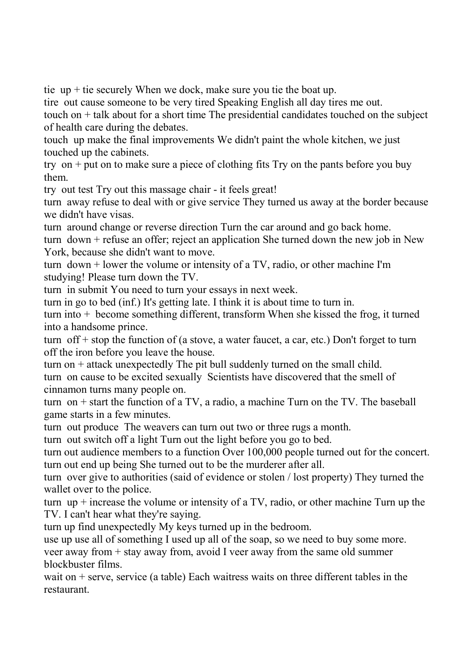tie up + tie securely When we dock, make sure you tie the boat up.

tire out cause someone to be very tired Speaking English all day tires me out.

touch on + talk about for a short time The presidential candidates touched on the subject of health care during the debates.

touch up make the final improvements We didn't paint the whole kitchen, we just touched up the cabinets.

try on  $+$  put on to make sure a piece of clothing fits Try on the pants before you buy them.

try out test Try out this massage chair - it feels great!

turn away refuse to deal with or give service They turned us away at the border because we didn't have visas.

turn around change or reverse direction Turn the car around and go back home.

turn down + refuse an offer; reject an application She turned down the new job in New York, because she didn't want to move.

turn down + lower the volume or intensity of a TV, radio, or other machine I'm studying! Please turn down the TV.

turn in submit You need to turn your essays in next week.

turn in go to bed (inf.) It's getting late. I think it is about time to turn in.

turn into + become something different, transform When she kissed the frog, it turned into a handsome prince.

turn off + stop the function of (a stove, a water faucet, a car, etc.) Don't forget to turn off the iron before you leave the house.

turn on + attack unexpectedly The pit bull suddenly turned on the small child. turn on cause to be excited sexually Scientists have discovered that the smell of cinnamon turns many people on.

turn on + start the function of a TV, a radio, a machine Turn on the TV. The baseball game starts in a few minutes.

turn out produce The weavers can turn out two or three rugs a month.

turn out switch off a light Turn out the light before you go to bed.

turn out audience members to a function Over 100,000 people turned out for the concert. turn out end up being She turned out to be the murderer after all.

turn over give to authorities (said of evidence or stolen / lost property) They turned the wallet over to the police.

turn  $up +$  increase the volume or intensity of a TV, radio, or other machine Turn up the TV. I can't hear what they're saying.

turn up find unexpectedly My keys turned up in the bedroom.

use up use all of something I used up all of the soap, so we need to buy some more. veer away from + stay away from, avoid I veer away from the same old summer blockbuster films.

wait on  $+$  serve, service (a table) Each waitress waits on three different tables in the restaurant.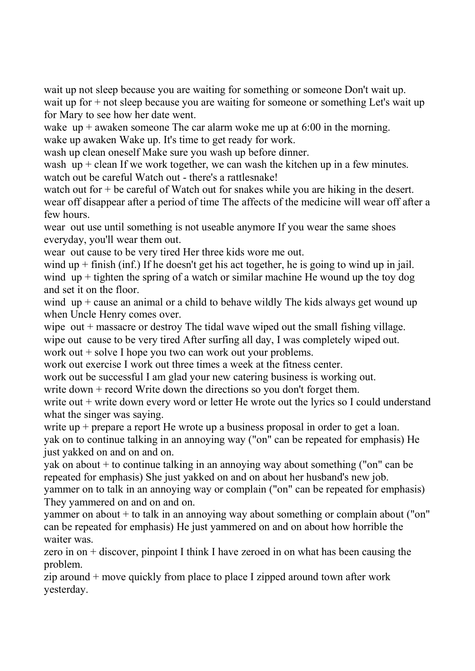wait up not sleep because you are waiting for something or someone Don't wait up. wait up for  $+$  not sleep because you are waiting for someone or something Let's wait up for Mary to see how her date went.

wake up + awaken someone The car alarm woke me up at  $6:00$  in the morning.

wake up awaken Wake up. It's time to get ready for work.

wash up clean oneself Make sure you wash up before dinner.

wash  $up + clean$  If we work together, we can wash the kitchen up in a few minutes. watch out be careful Watch out - there's a rattlesnake!

watch out for  $+$  be careful of Watch out for snakes while you are hiking in the desert. wear off disappear after a period of time The affects of the medicine will wear off after a few hours.

wear out use until something is not useable anymore If you wear the same shoes everyday, you'll wear them out.

wear out cause to be very tired Her three kids wore me out.

wind up  $+$  finish (inf.) If he doesn't get his act together, he is going to wind up in jail. wind up  $+$  tighten the spring of a watch or similar machine He wound up the toy dog and set it on the floor.

wind up  $+$  cause an animal or a child to behave wildly The kids always get wound up when Uncle Henry comes over.

wipe out + massacre or destroy The tidal wave wiped out the small fishing village. wipe out cause to be very tired After surfing all day, I was completely wiped out.

work out + solve I hope you two can work out your problems.

work out exercise I work out three times a week at the fitness center.

work out be successful I am glad your new catering business is working out.

write down + record Write down the directions so you don't forget them.

write out + write down every word or letter He wrote out the lyrics so I could understand what the singer was saying.

write up + prepare a report He wrote up a business proposal in order to get a loan. yak on to continue talking in an annoying way ("on" can be repeated for emphasis) He just yakked on and on and on.

yak on about + to continue talking in an annoying way about something ("on" can be repeated for emphasis) She just yakked on and on about her husband's new job.

yammer on to talk in an annoying way or complain ("on" can be repeated for emphasis) They yammered on and on and on.

yammer on about + to talk in an annoying way about something or complain about ("on" can be repeated for emphasis) He just yammered on and on about how horrible the waiter was.

zero in on + discover, pinpoint I think I have zeroed in on what has been causing the problem.

zip around + move quickly from place to place I zipped around town after work yesterday.